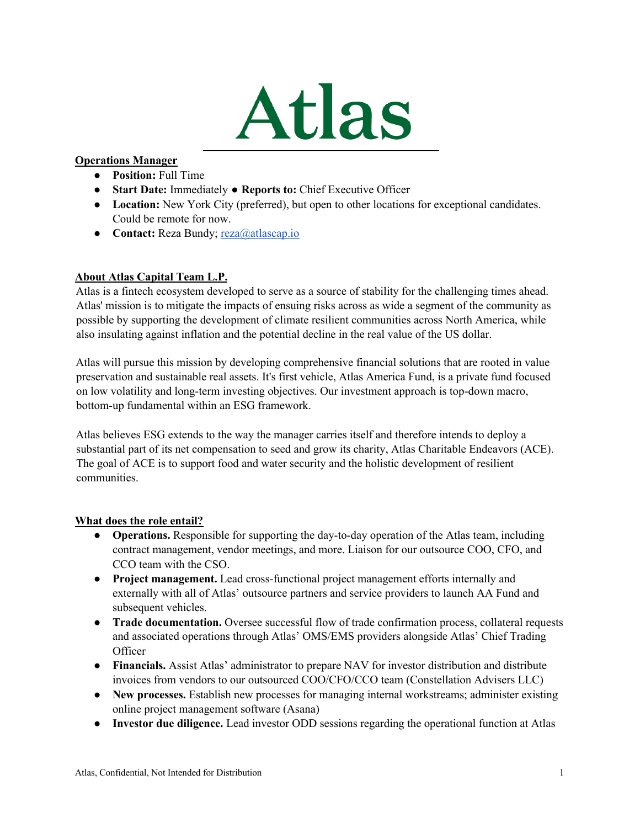

## **Operations Manager**

- **Position:** Full Time
- **Start Date:** Immediately **Reports to:** Chief Executive Officer
- Location: New York City (preferred), but open to other locations for exceptional candidates. Could be remote for now.
- **Contact:** Reza Bundy; reza@atlascap.io

## **About Atlas Capital Team L.P.**

Atlas is a fintech ecosystem developed to serve as a source of stability for the challenging times ahead. Atlas' mission is to mitigate the impacts of ensuing risks across as wide a segment of the community as possible by supporting the development of climate resilient communities across North America, while also insulating against inflation and the potential decline in the real value of the US dollar.

Atlas will pursue this mission by developing comprehensive financial solutions that are rooted in value preservation and sustainable real assets. It's first vehicle, Atlas America Fund, is a private fund focused on low volatility and long-term investing objectives. Our investment approach is top-down macro, bottom-up fundamental within an ESG framework.

Atlas believes ESG extends to the way the manager carries itself and therefore intends to deploy a substantial part of its net compensation to seed and grow its charity, Atlas Charitable Endeavors (ACE). The goal of ACE is to support food and water security and the holistic development of resilient communities.

## **What does the role entail?**

- **Operations.** Responsible for supporting the day-to-day operation of the Atlas team, including contract management, vendor meetings, and more. Liaison for our outsource COO, CFO, and CCO team with the CSO.
- **Project management.** Lead cross-functional project management efforts internally and externally with all of Atlas' outsource partners and service providers to launch AA Fund and subsequent vehicles.
- **• Trade documentation.** Oversee successful flow of trade confirmation process, collateral requests and associated operations through Atlas' OMS/EMS providers alongside Atlas' Chief Trading **Officer**
- **Financials.** Assist Atlas' administrator to prepare NAV for investor distribution and distribute invoices from vendors to our outsourced COO/CFO/CCO team (Constellation Advisers LLC)
- **New processes.** Establish new processes for managing internal workstreams; administer existing online project management software (Asana)
- **Investor due diligence.** Lead investor ODD sessions regarding the operational function at Atlas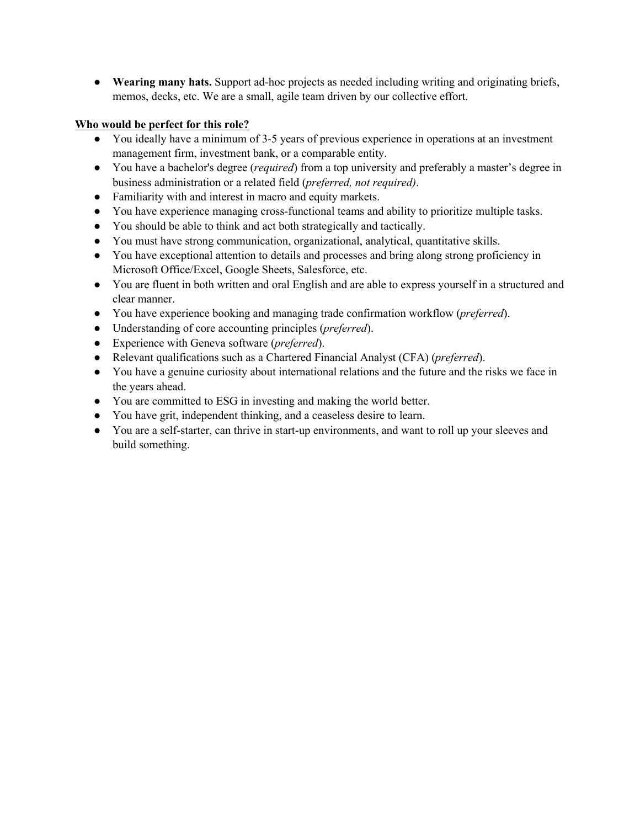● **Wearing many hats.** Support ad-hoc projects as needed including writing and originating briefs, memos, decks, etc. We are a small, agile team driven by our collective effort.

## **Who would be perfect for this role?**

- You ideally have a minimum of 3-5 years of previous experience in operations at an investment management firm, investment bank, or a comparable entity.
- You have a bachelor's degree (*required*) from a top university and preferably a master's degree in business administration or a related field (*preferred, not required)*.
- Familiarity with and interest in macro and equity markets.
- You have experience managing cross-functional teams and ability to prioritize multiple tasks.
- You should be able to think and act both strategically and tactically.
- You must have strong communication, organizational, analytical, quantitative skills.
- You have exceptional attention to details and processes and bring along strong proficiency in Microsoft Office/Excel, Google Sheets, Salesforce, etc.
- You are fluent in both written and oral English and are able to express yourself in a structured and clear manner.
- You have experience booking and managing trade confirmation workflow (*preferred*).
- Understanding of core accounting principles (*preferred*).
- Experience with Geneva software (*preferred*).
- Relevant qualifications such as a Chartered Financial Analyst (CFA) (*preferred*).
- You have a genuine curiosity about international relations and the future and the risks we face in the years ahead.
- You are committed to ESG in investing and making the world better.
- You have grit, independent thinking, and a ceaseless desire to learn.
- You are a self-starter, can thrive in start-up environments, and want to roll up your sleeves and build something.